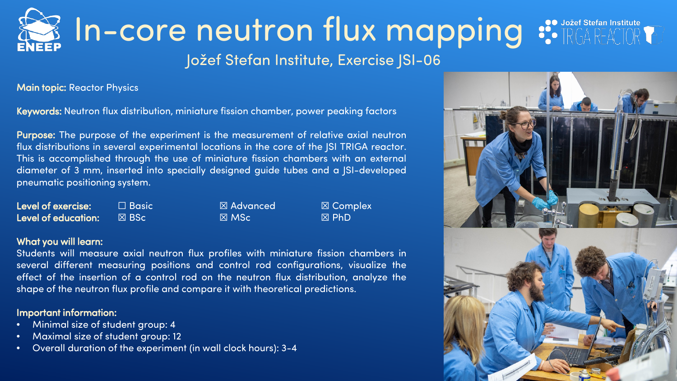## $\mathbb{E}$  In-core neutron flux mapping  $\mathbf{E}$  in  $\mathbf{E}$ Jožef Stefan Institute, Exercise JSI-06

Main topic: Reactor Physics

Keywords: Neutron flux distribution, miniature fission chamber, power peaking factors

Purpose: The purpose of the experiment is the measurement of relative axial neutron flux distributions in several experimental locations in the core of the JSI TRIGA reactor. This is accomplished through the use of miniature fission chambers with an external diameter of 3 mm, inserted into specially designed guide tubes and a JSI-developed pneumatic positioning system.

| <b>Level of exercise:</b> | $\Box$ Basic'   | ⊠ Advanced      | $\boxtimes$ Complex |
|---------------------------|-----------------|-----------------|---------------------|
| Level of education:       | $\boxtimes$ BSc | $\boxtimes$ MSc | $\boxtimes$ PhD     |

#### What you will learn:

Students will measure axial neutron flux profiles with miniature fission chambers in several different measuring positions and control rod configurations, visualize the effect of the insertion of a control rod on the neutron flux distribution, analyze the shape of the neutron flux profile and compare it with theoretical predictions.

#### Important information:

- Minimal size of student group: 4
- Maximal size of student group: 12
- Overall duration of the experiment (in wall clock hours): 3-4